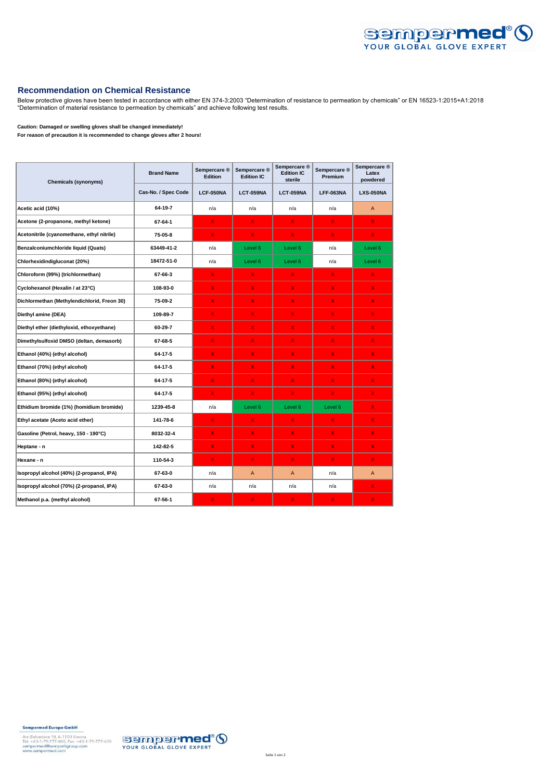

## **Recommendation on Chemical Resistance**

Below protective gloves have been tested in accordance with either EN 374-3:2003 "Determination of resistance to permeation by chemicals" or EN 16523-1:2015+A1:2018 "Determination of material resistance to permeation by chemicals" and achieve following test results.

## **Caution: Damaged or swelling gloves shall be changed immediately!**

**For reason of precaution it is recommended to change gloves after 2 hours!**

| <b>Chemicals (synonyms)</b>                 | <b>Brand Name</b>   | Sempercare ®<br><b>Edition</b> | Sempercare ®<br><b>Edition IC</b> | Sempercare ®<br><b>Edition IC</b><br>sterile | Sempercare ®<br><b>Premium</b> | Sempercare ®<br>Latex<br>powdered |
|---------------------------------------------|---------------------|--------------------------------|-----------------------------------|----------------------------------------------|--------------------------------|-----------------------------------|
|                                             | Cas-No. / Spec Code | LCF-050NA                      | LCT-059NA                         | LCT-059NA                                    | LFF-063NA                      | <b>LXS-050NA</b>                  |
| Acetic acid (10%)                           | 64-19-7             | n/a                            | n/a                               | n/a                                          | n/a                            | A                                 |
| Acetone (2-propanone, methyl ketone)        | 67-64-1             | $\mathsf{X}$                   | $\mathsf{X}$                      | $\mathsf{X}$                                 | $\mathsf{x}$                   | $\mathsf{X}$                      |
| Acetonitrile (cyanomethane, ethyl nitrile)  | 75-05-8             | $\overline{\mathsf{X}}$        | $\mathsf{X}$                      | $\mathsf{X}$                                 | $\mathsf{x}$                   | $\mathsf{X}$                      |
| Benzalconiumchloride liquid (Quats)         | 63449-41-2          | n/a                            | Level <sub>6</sub>                | Level 6                                      | n/a                            | Level 6                           |
| Chlorhexidindigluconat (20%)                | 18472-51-0          | n/a                            | Level 6                           | Level 6                                      | n/a                            | Level 6                           |
| Chloroform (99%) (trichlormethan)           | 67-66-3             | X.                             | X                                 | X                                            | X                              | X.                                |
| Cyclohexanol (Hexalin / at 23°C)            | 108-93-0            | $\mathsf{X}$                   | $\mathsf{X}$                      | X                                            | $\mathsf{x}$                   | $\mathsf{X}$                      |
| Dichlormethan (Methylendichlorid, Freon 30) | 75-09-2             | $\mathsf{X}$                   | X                                 | X.                                           | X                              | X.                                |
| Diethyl amine (DEA)                         | 109-89-7            | $\mathsf{X}$                   | $\mathsf{X}$                      | X.                                           | $\mathsf{x}$                   | $\mathsf{X}$                      |
| Diethyl ether (diethyloxid, ethoxyethane)   | 60-29-7             | $\mathsf{X}$                   | $\mathsf{X}$                      | X.                                           | X                              | $\mathsf{X}$                      |
| Dimethylsulfoxid DMSO (deltan, demasorb)    | 67-68-5             | X.                             | $\mathsf{X}$                      | X                                            | $\mathsf{x}$                   | X.                                |
| Ethanol (40%) (ethyl alcohol)               | 64-17-5             | X.                             | $\mathsf{x}$                      | X                                            | $\mathsf{x}$                   | X.                                |
| Ethanol (70%) (ethyl alcohol)               | 64-17-5             | $\mathsf{X}$                   | $\mathsf{X}$                      | x                                            | $\mathsf{x}$                   | X.                                |
| Ethanol (80%) (ethyl alcohol)               | 64-17-5             | $\mathsf{X}$                   | $\mathsf{X}$                      | x                                            | X.                             | $\mathsf{X}$                      |
| Ethanol (95%) (ethyl alcohol)               | 64-17-5             | $\mathsf{X}$                   | $\mathsf{X}$                      | X.                                           | $\mathsf{x}$                   | $\mathsf{X}$                      |
| Ethidium bromide (1%) (homidium bromide)    | 1239-45-8           | n/a                            | Level 6                           | Level 6                                      | Level 6                        | $\mathsf{X}$                      |
| Ethyl acetate (Aceto acid ether)            | 141-78-6            | $\mathsf{X}$                   | $\mathsf{X}$                      | X.                                           | $\mathsf{x}$                   | $\mathsf{X}$                      |
| Gasoline (Petrol, heavy, 150 - 190°C)       | 8032-32-4           | $\mathsf{X}$                   | $\mathsf{X}$                      | X.                                           | $\mathsf{x}$                   | $\mathsf{X}$                      |
| Heptane - n                                 | 142-82-5            | X.                             | $\mathsf{X}$                      | X.                                           | X                              | X.                                |
| Hexane - n                                  | 110-54-3            | $\mathsf{X}$                   | $\mathsf{X}$                      | X                                            | $\mathsf{x}$                   | $\mathsf{X}$                      |
| Isopropyl alcohol (40%) (2-propanol, IPA)   | 67-63-0             | n/a                            | $\overline{A}$                    | $\overline{A}$                               | n/a                            | A                                 |
| Isopropyl alcohol (70%) (2-propanol, IPA)   | 67-63-0             | n/a                            | n/a                               | n/a                                          | n/a                            | X.                                |
| Methanol p.a. (methyl alcohol)              | 67-56-1             | $\mathsf{X}$                   | $\mathsf{X}$                      | X                                            | X                              | $\mathsf{X}$                      |

**Sempermed Europe GmbH**